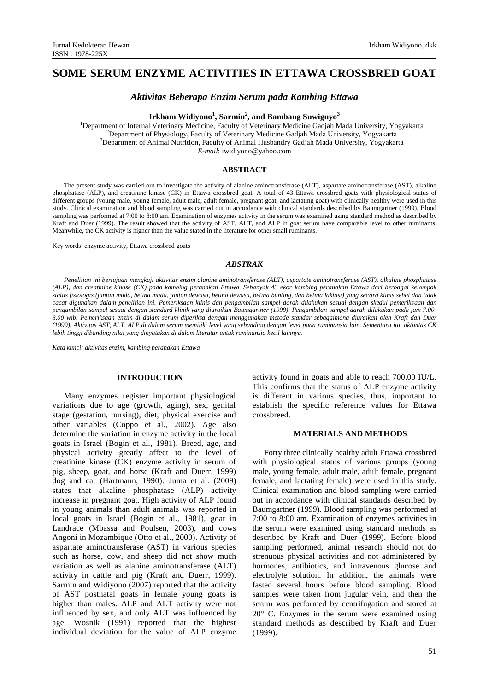# **SOME SERUM ENZYME ACTIVITIES IN ETTAWA CROSSBRED GOAT**

# *Aktivitas Beberapa Enzim Serum pada Kambing Ettawa*

# **Irkham Widiyono<sup>1</sup> , Sarmin<sup>2</sup> , and Bambang Suwignyo<sup>3</sup>**

<sup>1</sup>Department of Internal Veterinary Medicine, Faculty of Veterinary Medicine Gadjah Mada University, Yogyakarta <sup>2</sup>Department of Physiology, Faculty of Veterinary Medicine Gadjah Mada University, Yogyakarta <sup>3</sup>Department of Animal Nutrition, Faculty of Animal Husbandry Gadjah Mada University, Yogyakarta *E-mail*: [iwidiyono@yahoo.com](mailto:iwidiyono@yahoo.com)

### **ABSTRACT**

The present study was carried out to investigate the activity of alanine aminotransferase (ALT), aspartate aminotransferase (AST), alkaline phosphatase (ALP), and creatinine kinase (CK) in Ettawa crossbred goat. A total of 43 Ettawa crossbred goats with physiological status of different groups (young male, young female, adult male, adult female, pregnant goat, and lactating goat) with clinically healthy were used in this study. Clinical examination and blood sampling was carried out in accordance with clinical standards described by Baumgartner (1999). Blood sampling was performed at 7:00 to 8:00 am. Examination of enzymes activity in the serum was examined using standard method as described by Kraft and Duer (1999). The result showed that the activity of AST, ALT, and ALP in goat serum have comparable level to other ruminants. Meanwhile, the CK activity is higher than the value stated in the literature for other small ruminants.

Key words: enzyme activity, Ettawa crossbred goats

# *ABSTRAK*

\_\_\_\_\_\_\_\_\_\_\_\_\_\_\_\_\_\_\_\_\_\_\_\_\_\_\_\_\_\_\_\_\_\_\_\_\_\_\_\_\_\_\_\_\_\_\_\_\_\_\_\_\_\_\_\_\_\_\_\_\_\_\_\_\_\_\_\_\_\_\_\_\_\_\_\_\_\_\_\_\_\_\_\_\_\_\_\_\_\_\_\_\_\_\_\_\_\_\_\_\_\_\_\_\_\_\_\_\_\_\_\_\_\_\_\_

*Penelitian ini bertujuan mengkaji aktivitas enzim alanine aminotransferase (ALT), aspartate aminotransferase (AST), alkaline phosphatase (ALP), dan creatinine kinase (CK) pada kambing peranakan Ettawa. Sebanyak 43 ekor kambing peranakan Ettawa dari berbagai kelompok status fisiologis (jantan muda, betina muda, jantan dewasa, betina dewasa, betina bunting, dan betina laktasi) yang secara klinis sehat dan tidak cacat digunakan dalam penelitian ini. Pemeriksaan klinis dan pengambilan sampel darah dilakukan sesuai dengan skedul pemeriksaan dan pengambilan sampel sesuai dengan standard klinik yang diuraikan Baumgartner (1999). Pengambilan sampel darah dilakukan pada jam 7.00- 8.00 wib. Pemeriksaan enzim di dalam serum diperiksa dengan menggunakan metode standar sebagaimana diuraikan oleh Kraft dan Duer (1999). Aktivitas AST, ALT, ALP di dalam serum memiliki level yang sebanding dengan level pada ruminansia lain. Sementara itu, aktivitas CK lebih tinggi dibanding nilai yang dinyatakan di dalam literatur untuk ruminansia kecil lainnya.* 

\_\_\_\_\_\_\_\_\_\_\_\_\_\_\_\_\_\_\_\_\_\_\_\_\_\_\_\_\_\_\_\_\_\_\_\_\_\_\_\_\_\_\_\_\_\_\_\_\_\_\_\_\_\_\_\_\_\_\_\_\_\_\_\_\_\_\_\_\_\_\_\_\_\_\_\_\_\_\_\_\_\_\_\_\_\_\_\_\_\_\_\_\_\_\_\_\_\_\_\_\_\_\_\_\_\_\_\_\_\_\_\_\_\_\_\_

*Kata kunci: aktivitas enzim, kambing peranakan Ettawa*

### **INTRODUCTION**

Many enzymes register important physiological variations due to age (growth, aging), sex, genital stage (gestation, nursing), diet, physical exercise and other variables (Coppo et al., 2002). Age also determine the variation in enzyme activity in the local goats in Israel (Bogin et al*.,* 1981). Breed, age, and physical activity greatly affect to the level of creatinine kinase (CK) enzyme activity in serum of pig, sheep, goat, and horse (Kraft and Duerr, 1999) dog and cat (Hartmann, 1990). Juma et al. (2009) states that alkaline phosphatase (ALP) activity increase in pregnant goat. High activity of ALP found in young animals than adult animals was reported in local goats in Israel (Bogin et al., 1981), goat in Landrace (Mbassa and Poulsen, 2003), and cows Angoni in Mozambique (Otto et al., 2000). Activity of aspartate aminotransferase (AST) in various species such as horse, cow, and sheep did not show much variation as well as alanine aminotransferase (ALT) activity in cattle and pig (Kraft and Duerr, 1999). Sarmin and Widiyono (2007) reported that the activity of AST postnatal goats in female young goats is higher than males. ALP and ALT activity were not influenced by sex, and only ALT was influenced by age. Wosnik (1991) reported that the highest individual deviation for the value of ALP enzyme

activity found in goats and able to reach 700.00 IU/L. This confirms that the status of ALP enzyme activity is different in various species, thus, important to establish the specific reference values for Ettawa crossbreed.

#### **MATERIALS AND METHODS**

Forty three clinically healthy adult Ettawa crossbred with physiological status of various groups (young male, young female, adult male, adult female, pregnant female, and lactating female) were used in this study. Clinical examination and blood sampling were carried out in accordance with clinical standards described by Baumgartner (1999). Blood sampling was performed at 7:00 to 8:00 am. Examination of enzymes activities in the serum were examined using standard methods as described by Kraft and Duer (1999). Before blood sampling performed, animal research should not do strenuous physical activities and not administered by hormones, antibiotics, and intravenous glucose and electrolyte solution. In addition, the animals were fasted several hours before blood sampling. Blood samples were taken from jugular vein, and then the serum was performed by centrifugation and stored at  $20^{\circ}$  C. Enzymes in the serum were examined using standard methods as described by Kraft and Duer (1999).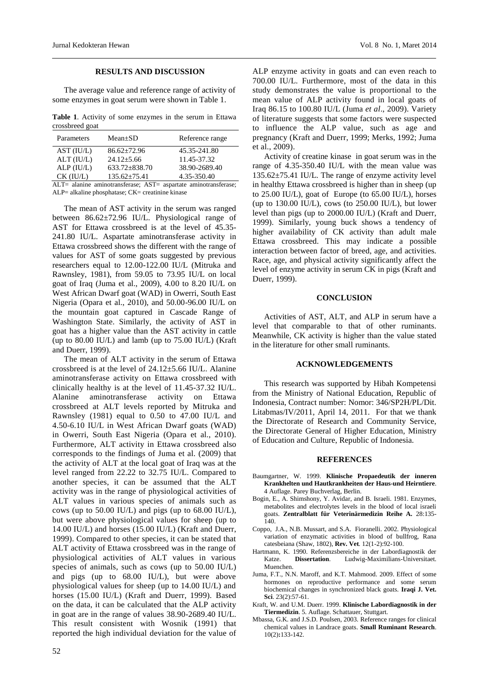## **RESULTS AND DISCUSSION**

The average value and reference range of activity of some enzymes in goat serum were shown in Table 1.

**Table 1**. Activity of some enzymes in the serum in Ettawa crossbreed goat

| Parameters                                                                                   | $Mean \pm SD$       | Reference range |
|----------------------------------------------------------------------------------------------|---------------------|-----------------|
| AST (IU/L)                                                                                   | $86.62 \pm 72.96$   | 45.35-241.80    |
| $ALT$ ( $IU/L$ )                                                                             | $24.12 + 5.66$      | 11.45-37.32     |
| $ALP$ ( $IU/L$ )                                                                             | $633.72 \pm 838.70$ | 38.90-2689.40   |
| $CK$ (IU/L)                                                                                  | $135.62 \pm 75.41$  | 4.35-350.40     |
| $\Lambda$ I T $-$ elemina eminotransforesse: $\Lambda$ CT $-$<br>conortate eminetrancferoces |                     |                 |

ALT= alanine aminotransferase; AST= aspartate aminotransferase; ALP= alkaline phosphatase; CK= creatinine kinase

The mean of AST activity in the serum was ranged between 86.62±72.96 IU/L. Physiological range of AST for Ettawa crossbreed is at the level of 45.35- 241.80 IU/L. Aspartate aminotransferase activity in Ettawa crossbreed shows the different with the range of values for AST of some goats suggested by previous researchers equal to 12.00-122.00 IU/L (Mitruka and Rawnsley, 1981), from 59.05 to 73.95 IU/L on local goat of Iraq (Juma et al., 2009), 4.00 to 8.20 IU/L on West African Dwarf goat (WAD) in Owerri, South East Nigeria (Opara et al., 2010), and 50.00-96.00 IU/L on the mountain goat captured in Cascade Range of Washington State. Similarly, the activity of AST in goat has a higher value than the AST activity in cattle (up to  $80.00$  IU/L) and lamb (up to  $75.00$  IU/L) (Kraft) and Duerr, 1999).

The mean of ALT activity in the serum of Ettawa crossbreed is at the level of 24.12±5.66 IU/L. Alanine aminotransferase activity on Ettawa crossbreed with clinically healthy is at the level of 11.45-37.32 IU/L. Alanine aminotransferase activity on Ettawa crossbreed at ALT levels reported by Mitruka and Rawnsley (1981) equal to 0.50 to 47.00 IU/L and 4.50-6.10 IU/L in West African Dwarf goats (WAD) in Owerri, South East Nigeria (Opara et al., 2010). Furthermore, ALT activity in Ettawa crossbreed also corresponds to the findings of Juma et al. (2009) that the activity of ALT at the local goat of Iraq was at the level ranged from 22.22 to 32.75 IU/L. Compared to another species, it can be assumed that the ALT activity was in the range of physiological activities of ALT values in various species of animals such as cows (up to 50.00 IU/L) and pigs (up to 68.00 IU/L), but were above physiological values for sheep (up to 14.00 IU/L) and horses (15.00 IU/L) (Kraft and Duerr, 1999). Compared to other species, it can be stated that ALT activity of Ettawa crossbreed was in the range of physiological activities of ALT values in various species of animals, such as cows (up to 50.00 IU/L) and pigs (up to 68.00 IU/L), but were above physiological values for sheep (up to 14.00 IU/L) and horses (15.00 IU/L) (Kraft and Duerr, 1999). Based on the data, it can be calculated that the ALP activity in goat are in the range of values 38.90-2689.40 IU/L. This result consistent with Wosnik (1991) that reported the high individual deviation for the value of

ALP enzyme activity in goats and can even reach to 700.00 IU/L. Furthermore, most of the data in this study demonstrates the value is proportional to the mean value of ALP activity found in local goats of Iraq 86.15 to 100.80 IU/L (Juma *et al*., 2009). Variety of literature suggests that some factors were suspected to influence the ALP value, such as age and pregnancy (Kraft and Duerr, 1999; Merks, 1992; Juma et al., 2009).

Activity of creatine kinase in goat serum was in the range of 4.35-350.40 IU/L with the mean value was 135.62±75.41 IU/L. The range of enzyme activity level in healthy Ettawa crossbreed is higher than in sheep (up to 25.00 IU/L), goat of Europe (to 65.00 IU/L), horses (up to 130.00 IU/L), cows (to 250.00 IU/L), but lower level than pigs (up to 2000.00 IU/L) (Kraft and Duerr, 1999). Similarly, young buck shows a tendency of higher availability of CK activity than adult male Ettawa crossbreed. This may indicate a possible interaction between factor of breed, age, and activities. Race, age, and physical activity significantly affect the level of enzyme activity in serum CK in pigs (Kraft and Duerr, 1999).

#### **CONCLUSION**

Activities of AST, ALT, and ALP in serum have a level that comparable to that of other ruminants. Meanwhile, CK activity is higher than the value stated in the literature for other small ruminants.

## **ACKNOWLEDGEMENTS**

This research was supported by Hibah Kompetensi from the Ministry of National Education, Republic of Indonesia, Contract number: Nomor: 346/SP2H/PL/Dit. Litabmas/IV/2011, April 14, 2011. For that we thank the Directorate of Research and Community Service, the Directorate General of Higher Education, Ministry of Education and Culture, Republic of Indonesia.

#### **REFERENCES**

- Baumgartner, W. 1999. **Klinische Propaedeutik der inneren Krankhelten und Hautkrankheiten der Haus-und Heirntiere**. 4 Auflage. Parey Buchverlag, Berlin.
- Bogin, E., A. Shimshony, Y. Avidar, and B. Israeli. 1981. Enzymes, metabolites and electrolytes levels in the blood of local israeli goats. **Zentralblatt für Veterinärmedizin Reihe A.** 28:135- 140.
- Coppo, J.A., N.B. Mussart, and S.A. Fioranelli. 2002. Physiological variation of enzymatic activities in blood of bullfrog, Rana catesbeiana (Shaw, 1802), **Rev. Vet***.* 12(1-2):92-100.
- Hartmann, K. 1990. Referenzsbereiche in der Labordiagnostik der Katze. **Dissertation**. Ludwig-Maximilians-Universitaet. Muenchen.
- Juma, F.T., N.N. Maroff, and K.T. Mahmood. 2009. Effect of some hormones on reproductive performance and some serum biochemical changes in synchronized black goats. **Iraqi J. Vet. Sci**. 23(2):57-61.
- Kraft, W. and U.M. Duerr. 1999. **Klinische Labordiagnostik in der Tiermedizin**. 5. Auflage. Schattauer, Stuttgart.
- Mbassa, G.K. and J.S.D. Poulsen, 2003. Reference ranges for clinical chemical values in Landrace goats. **[Small Ruminant Research](http://www.sciencedirect.com/science/journal/09214488)**. 10(2)**:**133-142.